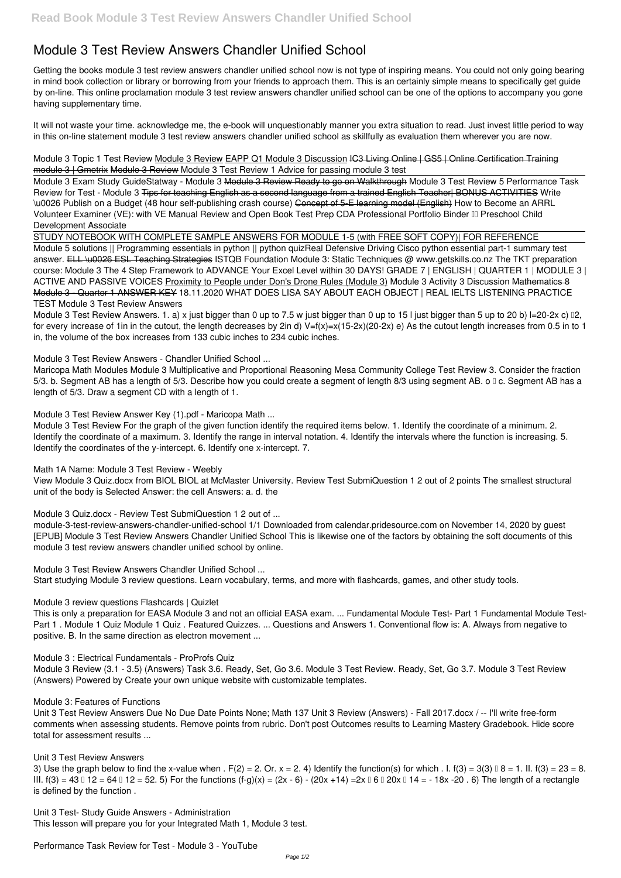# **Module 3 Test Review Answers Chandler Unified School**

Getting the books **module 3 test review answers chandler unified school** now is not type of inspiring means. You could not only going bearing in mind book collection or library or borrowing from your friends to approach them. This is an certainly simple means to specifically get guide by on-line. This online proclamation module 3 test review answers chandler unified school can be one of the options to accompany you gone having supplementary time.

Module 3 Topic 1 Test Review Module 3 Review EAPP Q1 Module 3 Discussion IC3 Living Online | GS5 | Online Certification Training module 3 | Gmetrix Module 3 Review *Module 3 Test Review 1 Advice for passing module 3 test*

It will not waste your time. acknowledge me, the e-book will unquestionably manner you extra situation to read. Just invest little period to way in this on-line statement **module 3 test review answers chandler unified school** as skillfully as evaluation them wherever you are now.

Module 3 Exam Study Guide*Statway - Module 3* Module 3 Review Ready to go on Walkthrough *Module 3 Test Review 5* **Performance Task Review for Test - Module 3** Tips for teaching English as a second language from a trained English Teacher| BONUS ACTIVITIES *Write \u0026 Publish on a Budget (48 hour self-publishing crash course)* Concept of 5-E learning model (English) *How to Become an ARRL Volunteer Examiner (VE): with VE Manual Review and Open Book Test Prep CDA Professional Portfolio Binder III Preschool Child* Development Associate

Module 3 Test Review Answers. 1. a) x just bigger than 0 up to 7.5 w just bigger than 0 up to 15 l just bigger than 5 up to 20 b) I=20-2x c) 12, for every increase of 1in in the cutout, the length decreases by 2in d)  $V=f(x)=x(15-2x)(20-2x)$  e) As the cutout length increases from 0.5 in to 1 in, the volume of the box increases from 133 cubic inches to 234 cubic inches.

Module 3 Test Review For the graph of the given function identify the required items below. 1. Identify the coordinate of a minimum. 2. Identify the coordinate of a maximum. 3. Identify the range in interval notation. 4. Identify the intervals where the function is increasing. 5. Identify the coordinates of the y-intercept. 6. Identify one x-intercept. 7.

STUDY NOTEBOOK WITH COMPLETE SAMPLE ANSWERS FOR MODULE 1-5 (with FREE SOFT COPY)| FOR REFERENCE

Module 5 solutions || Programming essentials in python || python quiz*Real Defensive Driving* **Cisco python essential part-1 summary test answer.** ELL \u0026 ESL Teaching Strategies ISTQB Foundation Module 3: Static Techniques @ www.getskills.co.nz **The TKT preparation course: Module 3** *The 4 Step Framework to ADVANCE Your Excel Level within 30 DAYS! GRADE 7 | ENGLISH | QUARTER 1 | MODULE 3 | ACTIVE AND PASSIVE VOICES* Proximity to People under Don's Drone Rules (Module 3) **Module 3 Activity 3 Discussion** Mathematics 8 Module 3 - Quarter 1 ANSWER KEY *18.11.2020 WHAT DOES LISA SAY ABOUT EACH OBJECT | REAL IELTS LISTENING PRACTICE TEST* **Module 3 Test Review Answers**

**Module 3 Test Review Answers - Chandler Unified School ...**

3) Use the graph below to find the x-value when  $F(2) = 2$ . Or.  $x = 2$ . 4) Identify the function(s) for which  $F(3) = 3(3)$   $8 = 1$ . II. f(3) = 23 = 8. III.  $f(3) = 43 \text{ m}$  12 = 64  $\text{ m}$  12 = 52. 5) For the functions  $(f-g)(x) = (2x - 6) - (20x + 14) = 2x \text{ m}$  6  $\text{ m}$  20x  $\text{ m}$  14 = -18x -20 . 6) The length of a rectangle is defined by the function .

Maricopa Math Modules Module 3 Multiplicative and Proportional Reasoning Mesa Community College Test Review 3. Consider the fraction 5/3. b. Segment AB has a length of 5/3. Describe how you could create a segment of length 8/3 using segment AB. o I c. Segment AB has a length of 5/3. Draw a segment CD with a length of 1.

**Module 3 Test Review Answer Key (1).pdf - Maricopa Math ...**

**Math 1A Name: Module 3 Test Review - Weebly**

View Module 3 Quiz.docx from BIOL BIOL at McMaster University. Review Test SubmiQuestion 1 2 out of 2 points The smallest structural unit of the body is Selected Answer: the cell Answers: a. d. the

**Module 3 Quiz.docx - Review Test SubmiQuestion 1 2 out of ...**

module-3-test-review-answers-chandler-unified-school 1/1 Downloaded from calendar.pridesource.com on November 14, 2020 by guest [EPUB] Module 3 Test Review Answers Chandler Unified School This is likewise one of the factors by obtaining the soft documents of this module 3 test review answers chandler unified school by online.

**Module 3 Test Review Answers Chandler Unified School ...** Start studying Module 3 review questions. Learn vocabulary, terms, and more with flashcards, games, and other study tools.

# **Module 3 review questions Flashcards | Quizlet**

This is only a preparation for EASA Module 3 and not an official EASA exam. ... Fundamental Module Test- Part 1 Fundamental Module Test-Part 1 . Module 1 Quiz Module 1 Quiz . Featured Quizzes. ... Questions and Answers 1. Conventional flow is: A. Always from negative to positive. B. In the same direction as electron movement ...

**Module 3 : Electrical Fundamentals - ProProfs Quiz**

Module 3 Review (3.1 - 3.5) (Answers) Task 3.6. Ready, Set, Go 3.6. Module 3 Test Review. Ready, Set, Go 3.7. Module 3 Test Review (Answers) Powered by Create your own unique website with customizable templates.

#### **Module 3: Features of Functions**

Unit 3 Test Review Answers Due No Due Date Points None; Math 137 Unit 3 Review (Answers) - Fall 2017.docx / -- I'll write free-form comments when assessing students. Remove points from rubric. Don't post Outcomes results to Learning Mastery Gradebook. Hide score total for assessment results ...

#### **Unit 3 Test Review Answers**

**Unit 3 Test- Study Guide Answers - Administration** This lesson will prepare you for your Integrated Math 1, Module 3 test.

**Performance Task Review for Test - Module 3 - YouTube**